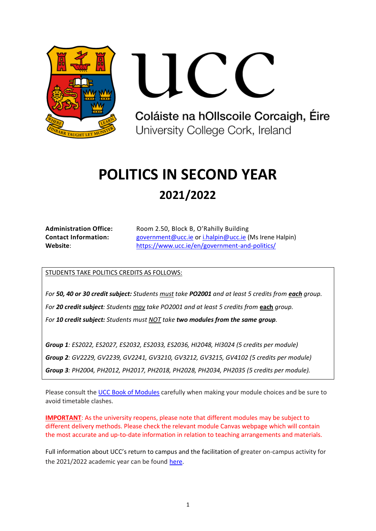

Coláiste na hOllscoile Corcaigh, Éire University College Cork, Ireland

# **POLITICS IN SECOND YEAR 2021/2022**

| <b>Administration Office:</b> |
|-------------------------------|
| <b>Contact Information:</b>   |
| Website:                      |

**Administration Office:** Room 2.50, Block B, O'Rahilly Building **Contact Information:** [government@ucc.ie](mailto:government@ucc.ie) or [i.halpin@ucc.ie](mailto:i.halpin@ucc.ie) (Ms Irene Halpin) <https://www.ucc.ie/en/government-and-politics/>

STUDENTS TAKE POLITICS CREDITS AS FOLLOWS:

*For 50, 40 or 30 credit subject: Students must take PO2001 and at least 5 credits from each group. For 20 credit subject: Students may take PO2001 and at least 5 credits from* **each** *group. For 10 credit subject: Students must NOT take two modules from the same group.*

*Group 1: ES2022, ES2027, ES2032, ES2033, ES2036, HI2048, HI3024 (5 credits per module) Group 2: GV2229, GV2239, GV2241, GV3210, GV3212, GV3215, GV4102 (5 credits per module) Group 3: PH2004, PH2012, PH2017, PH2018, PH2028, PH2034, PH2035 (5 credits per module).*

Please consult th[e UCC Book of Modules](https://www.ucc.ie/admin/registrar/modules/) carefully when making your module choices and be sure to avoid timetable clashes.

**IMPORTANT**: As the university reopens, please note that different modules may be subject to different delivery methods. Please check the relevant module Canvas webpage which will contain the most accurate and up-to-date information in relation to teaching arrangements and materials.

Full information about UCC's return to campus and the facilitation of greater on-campus activity for the 2021/2022 academic year can be found [here.](https://www.ucc.ie/en/news/academic-year-20212022-.html)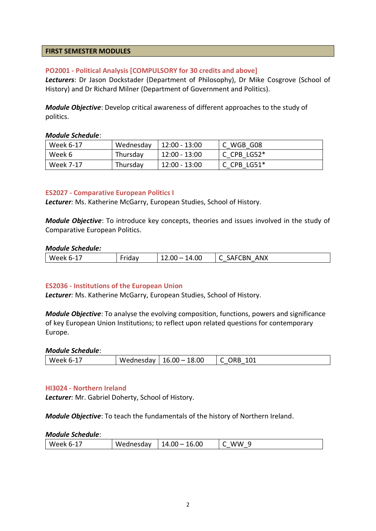# **FIRST SEMESTER MODULES**

# **PO2001 - Political Analysis [COMPULSORY for 30 credits and above]**

*Lecturers*: Dr Jason Dockstader (Department of Philosophy), Dr Mike Cosgrove (School of History) and Dr Richard Milner (Department of Government and Politics).

*Module Objective*: Develop critical awareness of different approaches to the study of politics.

#### *Module Schedule*:

| Week 6-17 | Wednesday | 12:00 - 13:00 | C WGB G08     |
|-----------|-----------|---------------|---------------|
| Week 6    | Thursday  | 12:00 - 13:00 | C CPB $LGS2*$ |
| Week 7-17 | Thursday  | 12:00 - 13:00 | C CPB $LS51*$ |

# **ES2027 - Comparative European Politics I**

*Lecturer:* Ms. Katherine McGarry, European Studies, School of History.

*Module Objective*: To introduce key concepts, theories and issues involved in the study of Comparative European Politics.

#### *Module Schedule:*

| $\overline{\phantom{0}}$<br>ANX<br>1.OC<br>١N<br>w<br>к<br>n-<br>$\overline{\phantom{a}}$<br>. к<br>uu<br>$\sim$<br>_____ |
|---------------------------------------------------------------------------------------------------------------------------|
|---------------------------------------------------------------------------------------------------------------------------|

#### **ES2036 - Institutions of the European Union**

*Lecturer:* Ms. Katherine McGarry, European Studies, School of History.

*Module Objective*: To analyse the evolving composition, functions, powers and significance of key European Union Institutions; to reflect upon related questions for contemporary Europe.

#### *Module Schedule*:

| 18.00<br>101<br>$16.00 -$<br>Week 6<br>Wednesday<br>n-<br>١C |
|--------------------------------------------------------------|
|--------------------------------------------------------------|

#### **HI3024 - Northern Ireland**

*Lecturer:* Mr. Gabriel Doherty, School of History.

*Module Objective*: To teach the fundamentals of the history of Northern Ireland.

|  | Week<br>n- . | /ednesdav<br>w | 16.00<br>.4.00<br>16<br>Δ. | w<br>'W |
|--|--------------|----------------|----------------------------|---------|
|--|--------------|----------------|----------------------------|---------|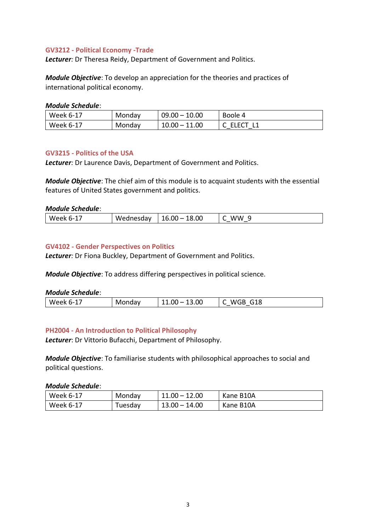# **GV3212 - Political Economy -Trade**

*Lecturer:* Dr Theresa Reidy, Department of Government and Politics.

*Module Objective*: To develop an appreciation for the theories and practices of international political economy.

#### *Module Schedule*:

| Week 6-17 | Monday | $09.00 - 10.00$ | Boole 4    |
|-----------|--------|-----------------|------------|
| Week 6-17 | Monday | $10.00 - 11.00$ | C ELECT L1 |

# **GV3215 - Politics of the USA**

*Lecturer:* Dr Laurence Davis, Department of Government and Politics.

*Module Objective*: The chief aim of this module is to acquaint students with the essential features of United States government and politics.

# *Module Schedule*:

| 18.00<br>16.00<br>ww<br>W.<br><b>Week</b><br>iesdav<br>$\overline{\phantom{a}}$<br>∽- |
|---------------------------------------------------------------------------------------|
|---------------------------------------------------------------------------------------|

# **GV4102 - Gender Perspectives on Politics**

*Lecturer:* Dr Fiona Buckley, Department of Government and Politics.

*Module Objective*: To address differing perspectives in political science.

#### *Module Schedule*:

| .3.00<br>i18<br>П<br>w<br>w<br>′ – H<br>IV.<br>$\overline{\phantom{a}}$<br>∽-<br>----<br><b>. .</b> |
|-----------------------------------------------------------------------------------------------------|
|-----------------------------------------------------------------------------------------------------|

# **PH2004 - An Introduction to Political Philosophy**

*Lecturer*: Dr Vittorio Bufacchi, Department of Philosophy.

*Module Objective*: To familiarise students with philosophical approaches to social and political questions.

| Week 6-17 | Monday  | $11.00 - 12.00$ | Kane B10A |
|-----------|---------|-----------------|-----------|
| Week 6-17 | Tuesdav | $13.00 - 14.00$ | Kane B10A |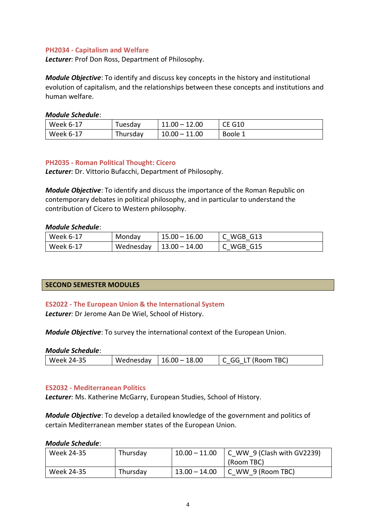# **PH2034 - Capitalism and Welfare**

*Lecturer:* Prof Don Ross, Department of Philosophy.

*Module Objective*: To identify and discuss key concepts in the history and institutional evolution of capitalism, and the relationships between these concepts and institutions and human welfare.

# *Module Schedule*:

| Week 6-17 | Tuesdav  | $11.00 - 12.00$ | <b>CE G10</b> |
|-----------|----------|-----------------|---------------|
| Week 6-17 | Thursday | $10.00 - 11.00$ | Boole 1       |

# **PH2035 - Roman Political Thought: Cicero**

*Lecturer:* Dr. Vittorio Bufacchi, Department of Philosophy.

*Module Objective*: To identify and discuss the importance of the Roman Republic on contemporary debates in political philosophy, and in particular to understand the contribution of Cicero to Western philosophy.

# *Module Schedule*:

| Week 6-17 | Monday    | $15.00 - 16.00$ | C WGB G13 |
|-----------|-----------|-----------------|-----------|
| Week 6-17 | Wednesday | $13.00 - 14.00$ | C WGB G15 |

# **SECOND SEMESTER MODULES**

# **ES2022 - The European Union & the International System**

*Lecturer:* Dr Jerome Aan De Wiel, School of History.

*Module Objective*: To survey the international context of the European Union.

#### *Module Schedule*:

| Week 24-35 | Wednesday   $16.00 - 18.00$ | C GG LT (Room TBC) |
|------------|-----------------------------|--------------------|
|            |                             |                    |

#### **ES2032 - Mediterranean Politics**

*Lecturer:* Ms. Katherine McGarry, European Studies, School of History.

*Module Objective*: To develop a detailed knowledge of the government and politics of certain Mediterranean member states of the European Union.

| Week 24-35 | Thursday | $10.00 - 11.00$ | $\vert$ C WW 9 (Clash with GV2239)<br>(Room TBC) |
|------------|----------|-----------------|--------------------------------------------------|
| Week 24-35 | Thursday | $13.00 - 14.00$ | $\vert$ C WW 9 (Room TBC)                        |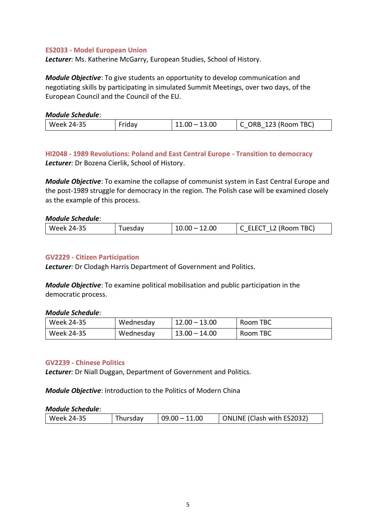# **ES2033 - Model European Union**

*Lecturer:* Ms. Katherine McGarry, European Studies, School of History.

*Module Objective*: To give students an opportunity to develop communication and negotiating skills by participating in simulated Summit Meetings, over two days, of the European Council and the Council of the EU.

#### *Module Schedule*:

| 24-35                    | TBC)       |
|--------------------------|------------|
| .3.00                    | )RB        |
| Week                     | 123 (Room) |
| 11.00                    | ᅩᅩ         |
| $\overline{\phantom{a}}$ |            |

# **HI2048 - 1989 Revolutions: Poland and East Central Europe - Transition to democracy** *Lecturer:* Dr Bozena Cierlik, School of History.

*Module Objective*: To examine the collapse of communist system in East Central Europe and the post-1989 struggle for democracy in the region. The Polish case will be examined closely as the example of this process.

#### *Module Schedule*:

| 14-35<br><b>Week</b> | . I d.V | .00<br>м | TBC)<br>, Room<br>. . |
|----------------------|---------|----------|-----------------------|
|----------------------|---------|----------|-----------------------|

#### **GV2229 - Citizen Participation**

*Lecturer:* Dr Clodagh Harris Department of Government and Politics.

*Module Objective*: To examine political mobilisation and public participation in the democratic process.

#### *Module Schedule*:

| Week 24-35 | Wednesday | $12.00 - 13.00$ | Room TBC |
|------------|-----------|-----------------|----------|
| Week 24-35 | Wednesday | $13.00 - 14.00$ | Room TBC |

#### **GV2239 - Chinese Politics**

*Lecturer:* Dr Niall Duggan, Department of Government and Politics.

*Module Objective*: Introduction to the Politics of Modern China

| ONLINE (Clash with ES2032)<br>Thursday<br>$09.00 - 11.00$<br>Week 24-35 |
|-------------------------------------------------------------------------|
|-------------------------------------------------------------------------|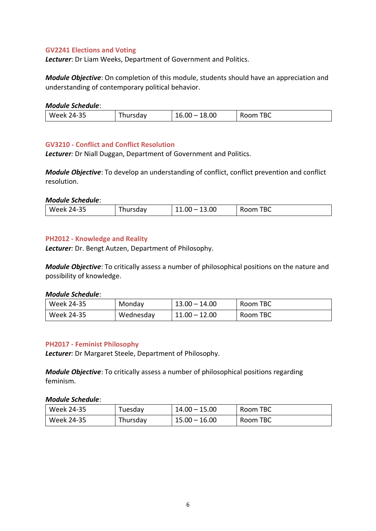# **GV2241 Elections and Voting**

*Lecturer*: Dr Liam Weeks, Department of Government and Politics.

*Module Objective*: On completion of this module, students should have an appreciation and understanding of contemporary political behavior.

#### *Module Schedule*:

| .              |         |                       |             |
|----------------|---------|-----------------------|-------------|
| 24-35<br>Week. | hursdav | ـ8.00<br>1 O<br>16.00 | TBC<br>Room |

# **GV3210 - Conflict and Conflict Resolution**

*Lecturer:* Dr Niall Duggan, Department of Government and Politics.

*Module Objective*: To develop an understanding of conflict, conflict prevention and conflict resolution.

#### *Module Schedule*:

| $\sim$ $-$<br>.00<br>$-$<br>TDC<br>/4-35<br>w<br>.<br>.UC<br>$\sim$<br>DU<br>.dv<br>-- |
|----------------------------------------------------------------------------------------|
|----------------------------------------------------------------------------------------|

# **PH2012 - Knowledge and Reality**

*Lecturer:* Dr. Bengt Autzen, Department of Philosophy.

*Module Objective*: To critically assess a number of philosophical positions on the nature and possibility of knowledge.

#### *Module Schedule*:

| Week 24-35 | Monday    | $13.00 - 14.00$ | Room TBC |
|------------|-----------|-----------------|----------|
| Week 24-35 | Wednesday | $11.00 - 12.00$ | Room TBC |

#### **PH2017 - Feminist Philosophy**

*Lecturer:* Dr Margaret Steele, Department of Philosophy.

*Module Objective*: To critically assess a number of philosophical positions regarding feminism.

| Week 24-35 | Fuesdav  | $14.00 - 15.00$ | Room TBC |
|------------|----------|-----------------|----------|
| Week 24-35 | Thursdav | $15.00 - 16.00$ | Room TBC |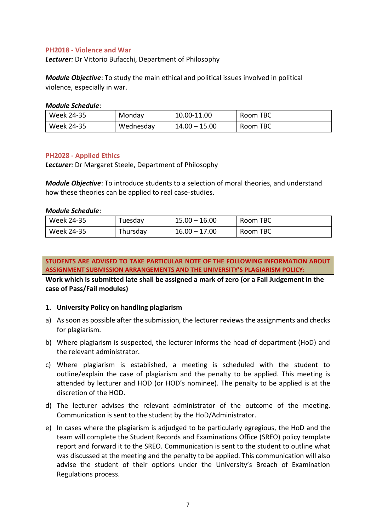# **PH2018 - Violence and War**

*Lecturer:* Dr Vittorio Bufacchi, Department of Philosophy

*Module Objective*: To study the main ethical and political issues involved in political violence, especially in war.

#### *Module Schedule*:

| Week 24-35 | Monday    | 10.00-11.00     | Room TBC |
|------------|-----------|-----------------|----------|
| Week 24-35 | Wednesday | $14.00 - 15.00$ | Room TBC |

# **PH2028 - Applied Ethics**

*Lecturer:* Dr Margaret Steele, Department of Philosophy

*Module Objective*: To introduce students to a selection of moral theories, and understand how these theories can be applied to real case-studies.

#### *Module Schedule*:

| Week 24-35 | Tuesday  | $15.00 - 16.00$ | Room TBC |
|------------|----------|-----------------|----------|
| Week 24-35 | Thursday | $16.00 - 17.00$ | Room TBC |

**STUDENTS ARE ADVISED TO TAKE PARTICULAR NOTE OF THE FOLLOWING INFORMATION ABOUT ASSIGNMENT SUBMISSION ARRANGEMENTS AND THE UNIVERSITY'S PLAGIARISM POLICY:**

**Work which is submitted late shall be assigned a mark of zero (or a Fail Judgement in the case of Pass/Fail modules)**

# **1. University Policy on handling plagiarism**

- a) As soon as possible after the submission, the lecturer reviews the assignments and checks for plagiarism.
- b) Where plagiarism is suspected, the lecturer informs the head of department (HoD) and the relevant administrator.
- c) Where plagiarism is established, a meeting is scheduled with the student to outline/explain the case of plagiarism and the penalty to be applied. This meeting is attended by lecturer and HOD (or HOD's nominee). The penalty to be applied is at the discretion of the HOD.
- d) The lecturer advises the relevant administrator of the outcome of the meeting. Communication is sent to the student by the HoD/Administrator.
- e) In cases where the plagiarism is adjudged to be particularly egregious, the HoD and the team will complete the Student Records and Examinations Office (SREO) policy template report and forward it to the SREO. Communication is sent to the student to outline what was discussed at the meeting and the penalty to be applied. This communication will also advise the student of their options under the University's Breach of Examination Regulations process.